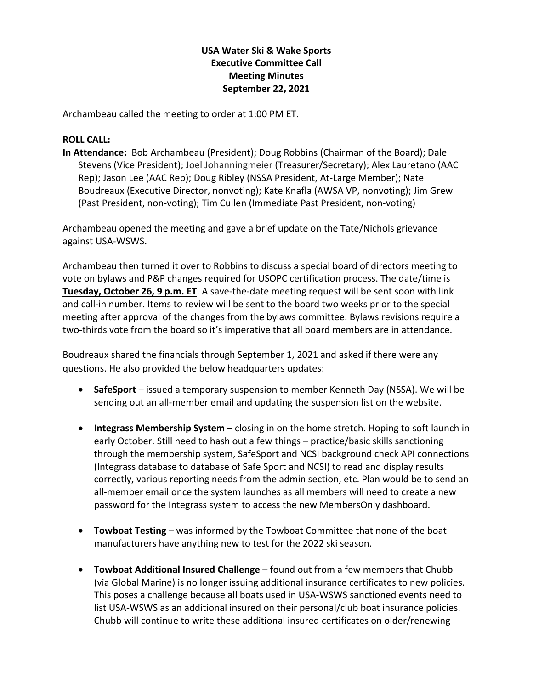## **USA Water Ski & Wake Sports Executive Committee Call Meeting Minutes September 22, 2021**

Archambeau called the meeting to order at 1:00 PM ET.

## **ROLL CALL:**

**In Attendance:** Bob Archambeau (President); Doug Robbins (Chairman of the Board); Dale Stevens (Vice President); Joel Johanningmeier (Treasurer/Secretary); Alex Lauretano (AAC Rep); Jason Lee (AAC Rep); Doug Ribley (NSSA President, At-Large Member); Nate Boudreaux (Executive Director, nonvoting); Kate Knafla (AWSA VP, nonvoting); Jim Grew (Past President, non-voting); Tim Cullen (Immediate Past President, non-voting)

Archambeau opened the meeting and gave a brief update on the Tate/Nichols grievance against USA-WSWS.

Archambeau then turned it over to Robbins to discuss a special board of directors meeting to vote on bylaws and P&P changes required for USOPC certification process. The date/time is **Tuesday, October 26, 9 p.m. ET**. A save-the-date meeting request will be sent soon with link and call-in number. Items to review will be sent to the board two weeks prior to the special meeting after approval of the changes from the bylaws committee. Bylaws revisions require a two-thirds vote from the board so it's imperative that all board members are in attendance.

Boudreaux shared the financials through September 1, 2021 and asked if there were any questions. He also provided the below headquarters updates:

- **SafeSport**  issued a temporary suspension to member Kenneth Day (NSSA). We will be sending out an all-member email and updating the suspension list on the website.
- **Integrass Membership System –** closing in on the home stretch. Hoping to soft launch in early October. Still need to hash out a few things – practice/basic skills sanctioning through the membership system, SafeSport and NCSI background check API connections (Integrass database to database of Safe Sport and NCSI) to read and display results correctly, various reporting needs from the admin section, etc. Plan would be to send an all-member email once the system launches as all members will need to create a new password for the Integrass system to access the new MembersOnly dashboard.
- **Towboat Testing –** was informed by the Towboat Committee that none of the boat manufacturers have anything new to test for the 2022 ski season.
- **Towboat Additional Insured Challenge –** found out from a few members that Chubb (via Global Marine) is no longer issuing additional insurance certificates to new policies. This poses a challenge because all boats used in USA-WSWS sanctioned events need to list USA-WSWS as an additional insured on their personal/club boat insurance policies. Chubb will continue to write these additional insured certificates on older/renewing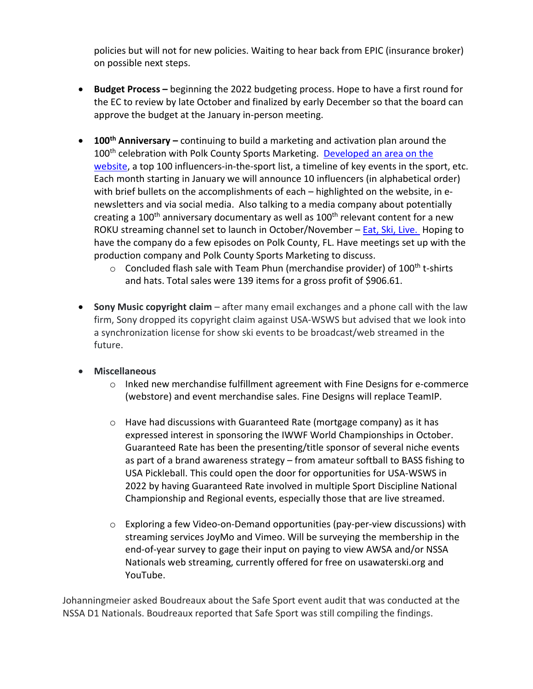policies but will not for new policies. Waiting to hear back from EPIC (insurance broker) on possible next steps.

- **Budget Process –** beginning the 2022 budgeting process. Hope to have a first round for the EC to review by late October and finalized by early December so that the board can approve the budget at the January in-person meeting.
- **100th Anniversary –** continuing to build a marketing and activation plan around the 100<sup>th</sup> celebration with Polk County Sports Marketing. Developed an area on the [website,](https://www.teamusa.org/USA-Water-Ski/Water-Skiing-Centennial) a top 100 influencers-in-the-sport list, a timeline of key events in the sport, etc. Each month starting in January we will announce 10 influencers (in alphabetical order) with brief bullets on the accomplishments of each – highlighted on the website, in enewsletters and via social media. Also talking to a media company about potentially creating a 100<sup>th</sup> anniversary documentary as well as 100<sup>th</sup> relevant content for a new ROKU streaming channel set to launch in October/November – [Eat, Ski, Live.](https://vimeo.com/386427570) Hoping to have the company do a few episodes on Polk County, FL. Have meetings set up with the production company and Polk County Sports Marketing to discuss.
	- $\circ$  Concluded flash sale with Team Phun (merchandise provider) of 100<sup>th</sup> t-shirts and hats. Total sales were 139 items for a gross profit of \$906.61.
- **Sony Music copyright claim** after many email exchanges and a phone call with the law firm, Sony dropped its copyright claim against USA-WSWS but advised that we look into a synchronization license for show ski events to be broadcast/web streamed in the future.
- **Miscellaneous** 
	- $\circ$  Inked new merchandise fulfillment agreement with Fine Designs for e-commerce (webstore) and event merchandise sales. Fine Designs will replace TeamIP.
	- $\circ$  Have had discussions with Guaranteed Rate (mortgage company) as it has expressed interest in sponsoring the IWWF World Championships in October. Guaranteed Rate has been the presenting/title sponsor of several niche events as part of a brand awareness strategy – from amateur softball to BASS fishing to USA Pickleball. This could open the door for opportunities for USA-WSWS in 2022 by having Guaranteed Rate involved in multiple Sport Discipline National Championship and Regional events, especially those that are live streamed.
	- o Exploring a few Video-on-Demand opportunities (pay-per-view discussions) with streaming services JoyMo and Vimeo. Will be surveying the membership in the end-of-year survey to gage their input on paying to view AWSA and/or NSSA Nationals web streaming, currently offered for free on usawaterski.org and YouTube.

Johanningmeier asked Boudreaux about the Safe Sport event audit that was conducted at the NSSA D1 Nationals. Boudreaux reported that Safe Sport was still compiling the findings.